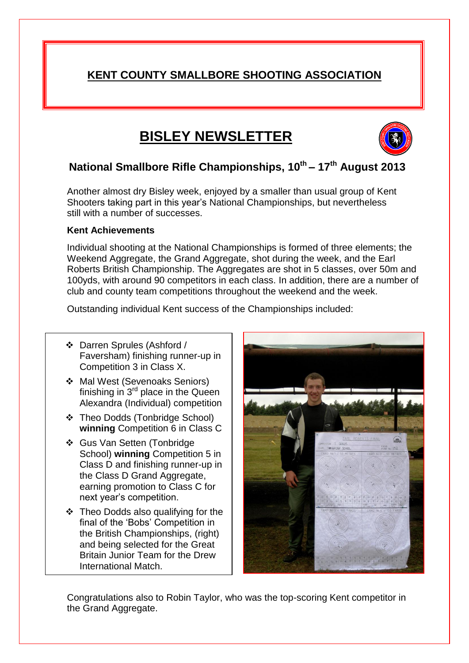## **KENT COUNTY SMALLBORE SHOOTING ASSOCIATION**

# **BISLEY NEWSLETTER**



### **National Smallbore Rifle Championships, 10 th – 17 th August 2013**

Another almost dry Bisley week, enjoyed by a smaller than usual group of Kent Shooters taking part in this year's National Championships, but nevertheless still with a number of successes.

#### **Kent Achievements**

Individual shooting at the National Championships is formed of three elements; the Weekend Aggregate, the Grand Aggregate, shot during the week, and the Earl Roberts British Championship. The Aggregates are shot in 5 classes, over 50m and 100yds, with around 90 competitors in each class. In addition, there are a number of club and county team competitions throughout the weekend and the week.

Outstanding individual Kent success of the Championships included:

- Darren Sprules (Ashford / Faversham) finishing runner-up in Competition 3 in Class X.
- ◆ Mal West (Sevenoaks Seniors) finishing in  $3<sup>rd</sup>$  place in the Queen Alexandra (Individual) competition
- Theo Dodds (Tonbridge School) **winning** Competition 6 in Class C
- Gus Van Setten (Tonbridge School) **winning** Competition 5 in Class D and finishing runner-up in the Class D Grand Aggregate, earning promotion to Class C for next year's competition.
- Theo Dodds also qualifying for the final of the 'Bobs' Competition in the British Championships, (right) and being selected for the Great Britain Junior Team for the Drew International Match.



Congratulations also to Robin Taylor, who was the top-scoring Kent competitor in the Grand Aggregate.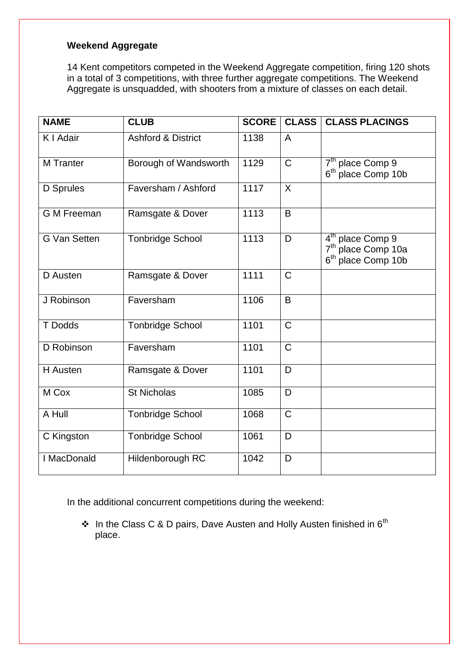### **Weekend Aggregate**

14 Kent competitors competed in the Weekend Aggregate competition, firing 120 shots in a total of 3 competitions, with three further aggregate competitions. The Weekend Aggregate is unsquadded, with shooters from a mixture of classes on each detail.

| <b>NAME</b>         | <b>CLUB</b>                   | <b>SCORE</b> | <b>CLASS</b>   | <b>CLASS PLACINGS</b>                                                                            |
|---------------------|-------------------------------|--------------|----------------|--------------------------------------------------------------------------------------------------|
| K I Adair           | <b>Ashford &amp; District</b> | 1138         | $\overline{A}$ |                                                                                                  |
| <b>M</b> Tranter    | Borough of Wandsworth         | 1129         | $\mathbf C$    | 7 <sup>th</sup> place Comp 9<br>6 <sup>th</sup> place Comp 10b                                   |
| <b>D</b> Sprules    | Faversham / Ashford           | 1117         | $\sf X$        |                                                                                                  |
| <b>G M Freeman</b>  | Ramsgate & Dover              | 1113         | B              |                                                                                                  |
| <b>G Van Setten</b> | <b>Tonbridge School</b>       | 1113         | D              | 4 <sup>th</sup> place Comp 9<br>7 <sup>th</sup> place Comp 10a<br>6 <sup>th</sup> place Comp 10b |
| D Austen            | Ramsgate & Dover              | 1111         | $\mathsf{C}$   |                                                                                                  |
| J Robinson          | Faversham                     | 1106         | B              |                                                                                                  |
| T Dodds             | <b>Tonbridge School</b>       | 1101         | $\mathsf C$    |                                                                                                  |
| D Robinson          | Faversham                     | 1101         | $\mathsf{C}$   |                                                                                                  |
| H Austen            | Ramsgate & Dover              | 1101         | D              |                                                                                                  |
| M Cox               | <b>St Nicholas</b>            | 1085         | D              |                                                                                                  |
| A Hull              | <b>Tonbridge School</b>       | 1068         | $\mathsf{C}$   |                                                                                                  |
| C Kingston          | <b>Tonbridge School</b>       | 1061         | D              |                                                                                                  |
| I MacDonald         | Hildenborough RC              | 1042         | D              |                                                                                                  |

In the additional concurrent competitions during the weekend:

 $\cdot$  In the Class C & D pairs, Dave Austen and Holly Austen finished in 6<sup>th</sup> place.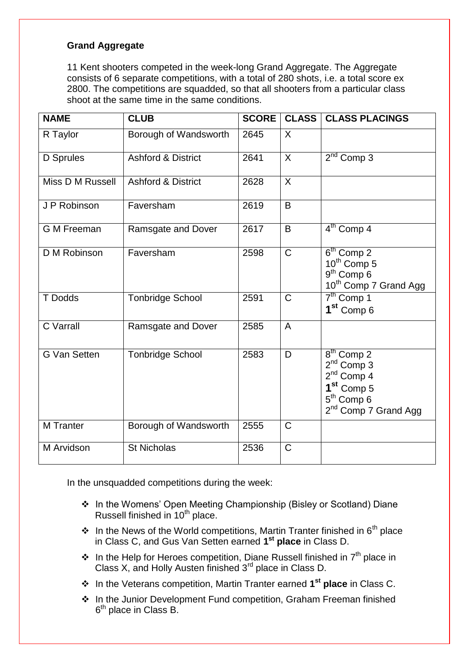#### **Grand Aggregate**

11 Kent shooters competed in the week-long Grand Aggregate. The Aggregate consists of 6 separate competitions, with a total of 280 shots, i.e. a total score ex 2800. The competitions are squadded, so that all shooters from a particular class shoot at the same time in the same conditions.

| <b>NAME</b><br><b>CLUB</b> |                               | <b>SCORE</b><br><b>CLASS</b> |              | <b>CLASS PLACINGS</b>                                                                                                                                        |  |
|----------------------------|-------------------------------|------------------------------|--------------|--------------------------------------------------------------------------------------------------------------------------------------------------------------|--|
| R Taylor                   | Borough of Wandsworth         | 2645                         | $\mathsf{X}$ |                                                                                                                                                              |  |
| D Sprules                  | <b>Ashford &amp; District</b> | 2641                         | X            | $2nd$ Comp 3                                                                                                                                                 |  |
| Miss D M Russell           | <b>Ashford &amp; District</b> | 2628                         | $\sf X$      |                                                                                                                                                              |  |
| J P Robinson               | Faversham                     | 2619                         | B            |                                                                                                                                                              |  |
| <b>G M Freeman</b>         | Ramsgate and Dover            | 2617                         | B            | 4 <sup>th</sup> Comp 4                                                                                                                                       |  |
| D M Robinson               | Faversham                     | 2598                         | $\mathsf C$  | $\overline{6}^{\text{th}}$ Comp 2<br>10 <sup>th</sup> Comp 5<br>$9th$ Comp 6<br>10 <sup>th</sup> Comp 7 Grand Agg                                            |  |
| T Dodds                    | <b>Tonbridge School</b>       | 2591                         | $\mathsf{C}$ | $7th$ Comp 1<br>1 <sup>st</sup> Comp 6                                                                                                                       |  |
| <b>C</b> Varrall           | Ramsgate and Dover            | 2585                         | A            |                                                                                                                                                              |  |
| <b>G Van Setten</b>        | <b>Tonbridge School</b>       | 2583                         | D            | $\overline{8^{th}}$ Comp 2<br>2 <sup>nd</sup> Comp 3<br>$2nd$ Comp 4<br>1 <sup>st</sup> Comp 5<br>5 <sup>th</sup> Comp 6<br>2 <sup>nd</sup> Comp 7 Grand Agg |  |
| <b>M</b> Tranter           | Borough of Wandsworth         | 2555                         | $\mathsf C$  |                                                                                                                                                              |  |
| M Arvidson                 | <b>St Nicholas</b>            | 2536                         | $\mathsf C$  |                                                                                                                                                              |  |

In the unsquadded competitions during the week:

- In the Womens' Open Meeting Championship (Bisley or Scotland) Diane Russell finished in 10<sup>th</sup> place.
- In the News of the World competitions, Martin Tranter finished in  $6<sup>th</sup>$  place in Class C, and Gus Van Setten earned **1 st place** in Class D.
- $\cdot \cdot$  In the Help for Heroes competition, Diane Russell finished in  $7<sup>th</sup>$  place in Class X, and Holly Austen finished 3rd place in Class D.
- In the Veterans competition, Martin Tranter earned **1 st place** in Class C.
- ❖ In the Junior Development Fund competition, Graham Freeman finished 6<sup>th</sup> place in Class B.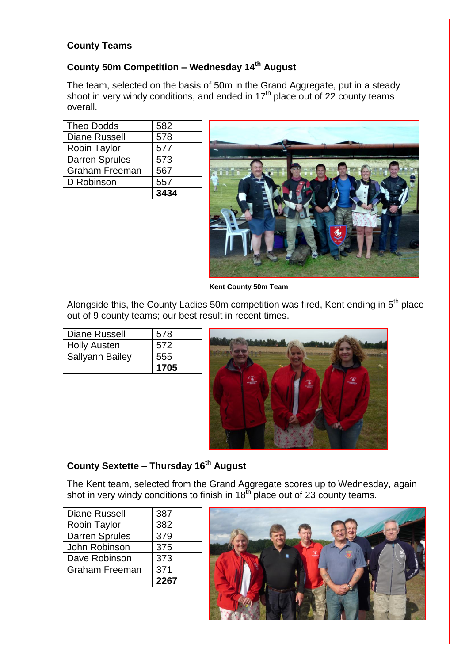#### **County Teams**

### **County 50m Competition – Wednesday 14th August**

The team, selected on the basis of 50m in the Grand Aggregate, put in a steady shoot in very windy conditions, and ended in 17<sup>th</sup> place out of 22 county teams overall.

| <b>Theo Dodds</b>     | 582  |
|-----------------------|------|
| <b>Diane Russell</b>  | 578  |
| <b>Robin Taylor</b>   | 577  |
| <b>Darren Sprules</b> | 573  |
| <b>Graham Freeman</b> | 567  |
| D Robinson            | 557  |
|                       | 3434 |

![](_page_3_Picture_4.jpeg)

 **Kent County 50m Team** 

Alongside this, the County Ladies 50m competition was fired, Kent ending in  $5<sup>th</sup>$  place out of 9 county teams; our best result in recent times.

| Diane Russell          | 578  |
|------------------------|------|
| <b>Holly Austen</b>    | 572  |
| <b>Sallyann Bailey</b> | 555  |
|                        | 1705 |

![](_page_3_Picture_8.jpeg)

### **County Sextette – Thursday 16th August**

The Kent team, selected from the Grand Aggregate scores up to Wednesday, again shot in very windy conditions to finish in  $18<sup>th</sup>$  place out of 23 county teams.

|                       | 2267 |
|-----------------------|------|
| <b>Graham Freeman</b> | 371  |
| Dave Robinson         | 373  |
| John Robinson         | 375  |
| Darren Sprules        | 379  |
| <b>Robin Taylor</b>   | 382  |
| <b>Diane Russell</b>  | 387  |

![](_page_3_Picture_12.jpeg)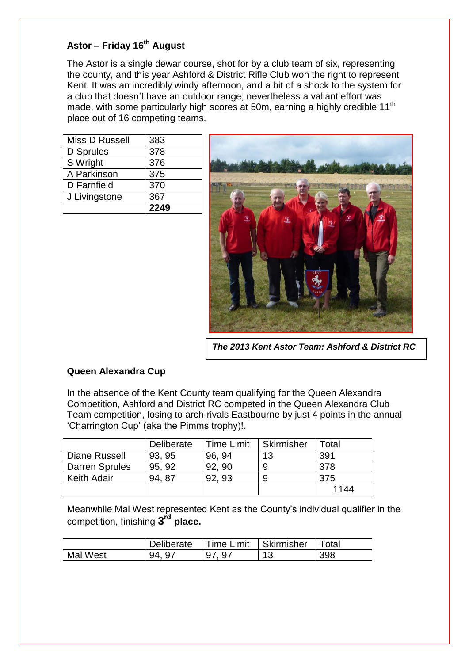### **Astor – Friday 16 th August**

The Astor is a single dewar course, shot for by a club team of six, representing the county, and this year Ashford & District Rifle Club won the right to represent Kent. It was an incredibly windy afternoon, and a bit of a shock to the system for a club that doesn't have an outdoor range; nevertheless a valiant effort was made, with some particularly high scores at 50m, earning a highly credible 11<sup>th</sup> place out of 16 competing teams.

| Miss D Russell | 383  |
|----------------|------|
| D Sprules      | 378  |
| S Wright       | 376  |
| A Parkinson    | 375  |
| D Farnfield    | 370  |
| J Livingstone  | 367  |
|                | 2249 |

![](_page_4_Picture_3.jpeg)

*The 2013 Kent Astor Team: Ashford & District RC*

### **Queen Alexandra Cup**

In the absence of the Kent County team qualifying for the Queen Alexandra Competition, Ashford and District RC competed in the Queen Alexandra Club Team competition, losing to arch-rivals Eastbourne by just 4 points in the annual 'Charrington Cup' (aka the Pimms trophy)!.

|                       | <b>Deliberate</b> | Time Limit | Skirmisher | Гоtal |
|-----------------------|-------------------|------------|------------|-------|
| Diane Russell         | 93, 95            | 96, 94     | 13         | 391   |
| <b>Darren Sprules</b> | 95.92             | 92, 90     |            | 378   |
| <b>Keith Adair</b>    | 94.87             | 92.93      | 9          | 375   |
|                       |                   |            |            | 1144  |

Meanwhile Mal West represented Kent as the County's individual qualifier in the competition, finishing **3 rd place.**

|          | Deliberate  | Time Limit | ⊩ Skirmisher | <sup>-</sup> otal |
|----------|-------------|------------|--------------|-------------------|
| Mal West | - Q 7<br>QΔ | 07         |              | 398               |